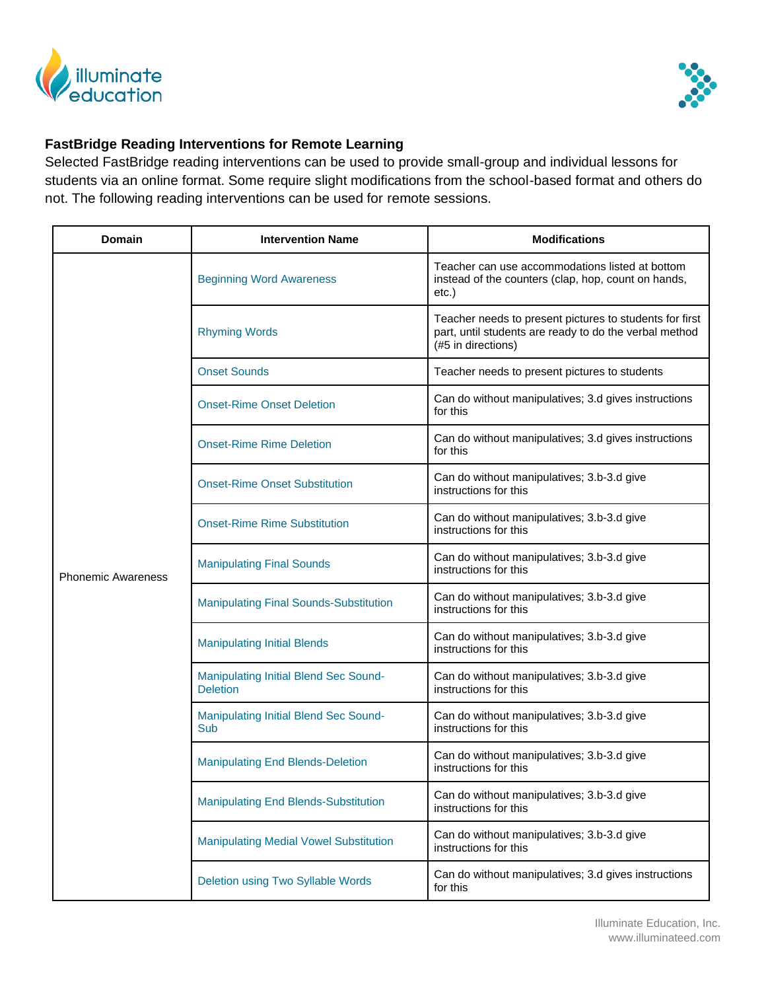



## **FastBridge Reading Interventions for Remote Learning**

Selected FastBridge reading interventions can be used to provide small-group and individual lessons for students via an online format. Some require slight modifications from the school-based format and others do not. The following reading interventions can be used for remote sessions.

| <b>Domain</b>             | <b>Intervention Name</b>                                 | <b>Modifications</b>                                                                                                                    |
|---------------------------|----------------------------------------------------------|-----------------------------------------------------------------------------------------------------------------------------------------|
| <b>Phonemic Awareness</b> | <b>Beginning Word Awareness</b>                          | Teacher can use accommodations listed at bottom<br>instead of the counters (clap, hop, count on hands,<br>$etc.$ )                      |
|                           | <b>Rhyming Words</b>                                     | Teacher needs to present pictures to students for first<br>part, until students are ready to do the verbal method<br>(#5 in directions) |
|                           | <b>Onset Sounds</b>                                      | Teacher needs to present pictures to students                                                                                           |
|                           | <b>Onset-Rime Onset Deletion</b>                         | Can do without manipulatives; 3.d gives instructions<br>for this                                                                        |
|                           | <b>Onset-Rime Rime Deletion</b>                          | Can do without manipulatives; 3.d gives instructions<br>for this                                                                        |
|                           | <b>Onset-Rime Onset Substitution</b>                     | Can do without manipulatives; 3.b-3.d give<br>instructions for this                                                                     |
|                           | <b>Onset-Rime Rime Substitution</b>                      | Can do without manipulatives; 3.b-3.d give<br>instructions for this                                                                     |
|                           | <b>Manipulating Final Sounds</b>                         | Can do without manipulatives; 3.b-3.d give<br>instructions for this                                                                     |
|                           | <b>Manipulating Final Sounds-Substitution</b>            | Can do without manipulatives; 3.b-3.d give<br>instructions for this                                                                     |
|                           | <b>Manipulating Initial Blends</b>                       | Can do without manipulatives; 3.b-3.d give<br>instructions for this                                                                     |
|                           | Manipulating Initial Blend Sec Sound-<br><b>Deletion</b> | Can do without manipulatives; 3.b-3.d give<br>instructions for this                                                                     |
|                           | Manipulating Initial Blend Sec Sound-<br>Sub             | Can do without manipulatives; 3.b-3.d give<br>instructions for this                                                                     |
|                           | <b>Manipulating End Blends-Deletion</b>                  | Can do without manipulatives; 3.b-3.d give<br>instructions for this                                                                     |
|                           | <b>Manipulating End Blends-Substitution</b>              | Can do without manipulatives; 3.b-3.d give<br>instructions for this                                                                     |
|                           | <b>Manipulating Medial Vowel Substitution</b>            | Can do without manipulatives; 3.b-3.d give<br>instructions for this                                                                     |
|                           | Deletion using Two Syllable Words                        | Can do without manipulatives; 3.d gives instructions<br>for this                                                                        |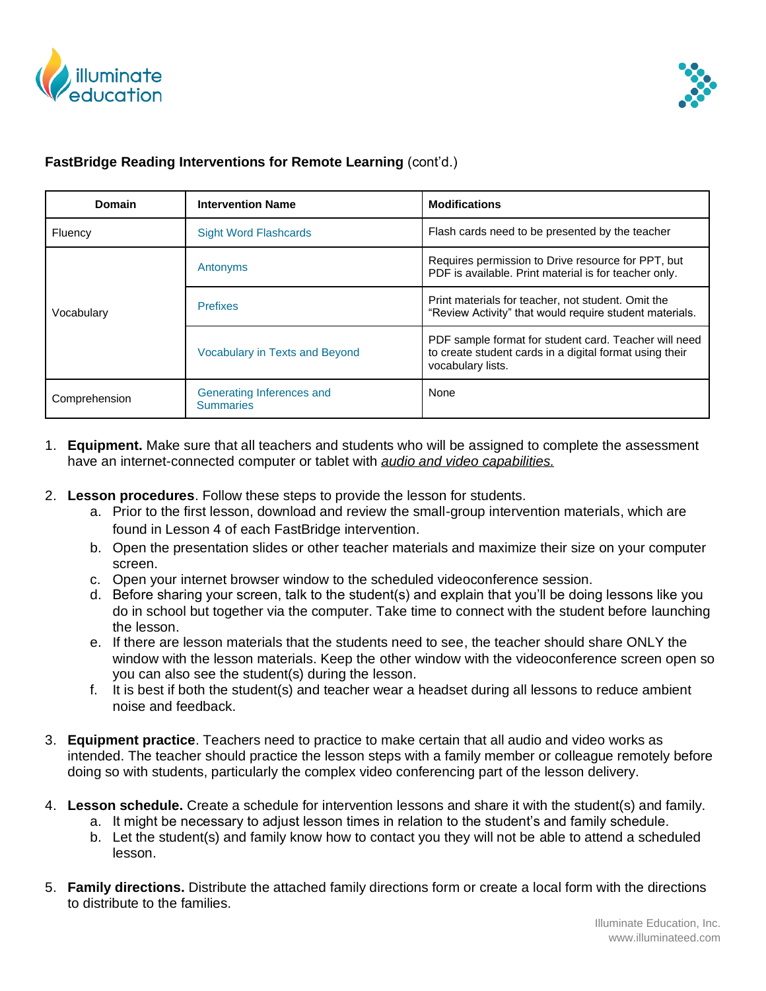



## **FastBridge Reading Interventions for Remote Learning** (cont'd.)

| Domain        | <b>Intervention Name</b>                      | <b>Modifications</b>                                                                                                                  |
|---------------|-----------------------------------------------|---------------------------------------------------------------------------------------------------------------------------------------|
| Fluency       | <b>Sight Word Flashcards</b>                  | Flash cards need to be presented by the teacher                                                                                       |
| Vocabulary    | Antonyms                                      | Requires permission to Drive resource for PPT, but<br>PDF is available. Print material is for teacher only.                           |
|               | <b>Prefixes</b>                               | Print materials for teacher, not student. Omit the<br>"Review Activity" that would require student materials.                         |
|               | <b>Vocabulary in Texts and Beyond</b>         | PDF sample format for student card. Teacher will need<br>to create student cards in a digital format using their<br>vocabulary lists. |
| Comprehension | Generating Inferences and<br><b>Summaries</b> | None                                                                                                                                  |

- 1. **Equipment.** Make sure that all teachers and students who will be assigned to complete the assessment have an internet-connected computer or tablet with *audio and video capabilities.*
- 2. **Lesson procedures**. Follow these steps to provide the lesson for students.
	- a. Prior to the first lesson, download and review the small-group intervention materials, which are found in Lesson 4 of each FastBridge intervention.
	- b. Open the presentation slides or other teacher materials and maximize their size on your computer screen.
	- c. Open your internet browser window to the scheduled videoconference session.
	- d. Before sharing your screen, talk to the student(s) and explain that you'll be doing lessons like you do in school but together via the computer. Take time to connect with the student before launching the lesson.
	- e. If there are lesson materials that the students need to see, the teacher should share ONLY the window with the lesson materials. Keep the other window with the videoconference screen open so you can also see the student(s) during the lesson.
	- f. It is best if both the student(s) and teacher wear a headset during all lessons to reduce ambient noise and feedback.
- 3. **Equipment practice**. Teachers need to practice to make certain that all audio and video works as intended. The teacher should practice the lesson steps with a family member or colleague remotely before doing so with students, particularly the complex video conferencing part of the lesson delivery.
- 4. **Lesson schedule.** Create a schedule for intervention lessons and share it with the student(s) and family.
	- a. It might be necessary to adjust lesson times in relation to the student's and family schedule.
	- b. Let the student(s) and family know how to contact you they will not be able to attend a scheduled lesson.
- 5. **Family directions.** Distribute the attached family directions form or create a local form with the directions to distribute to the families.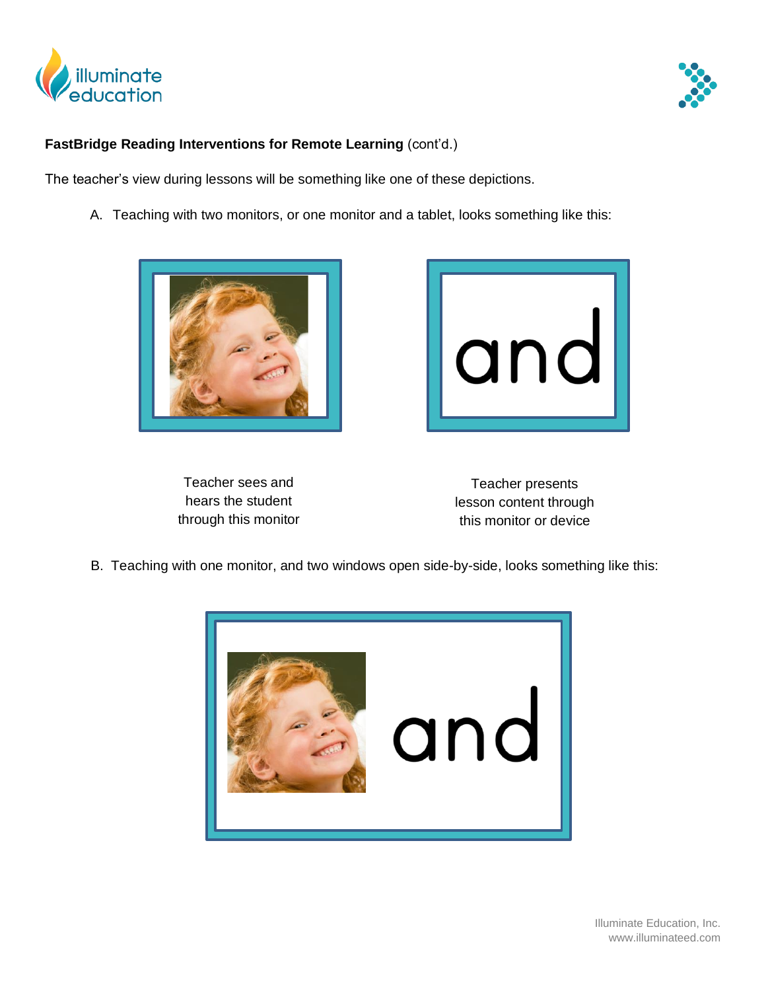



## **FastBridge Reading Interventions for Remote Learning** (cont'd.)

The teacher's view during lessons will be something like one of these depictions.

A. Teaching with two monitors, or one monitor and a tablet, looks something like this:





Teacher sees and hears the student through this monitor

Teacher presents lesson content through this monitor or device

B. Teaching with one monitor, and two windows open side-by-side, looks something like this:



 Illuminate Education, Inc. www.illuminateed.com